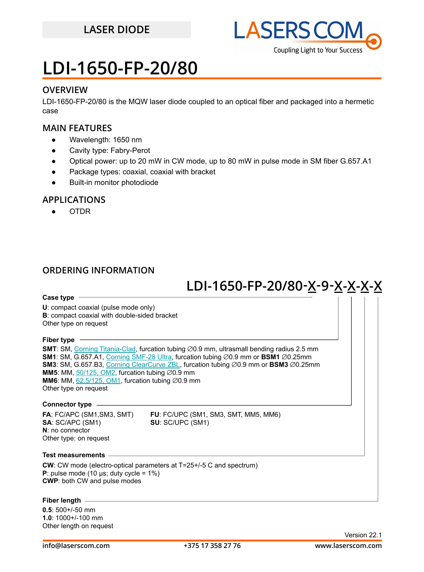## **LASER DIODE**



## **LDI-1650-FP-20/80**

### **OVERVIEW**

LDI-1650-FP-20/80 is the MQW laser diode coupled to an optical fiber and packaged into a hermetic case

### **MAIN FEATURES**

- Wavelength: 1650 nm
- Cavity type: Fabry-Perot
- Optical power: up to 20 mW in CW mode, up to 80 mW in pulse mode in SM fiber G.657.A1
- Package types: coaxial, coaxial with bracket
- **Built-in monitor photodiode**

### **APPLICATIONS**

● OTDR

### **ORDERING INFORMATION**

## **LDI-1650-FP-20/80 -X 9-X-X-X-X -**

### **Case type**

**U**: compact coaxial (pulse mode only) **B**: compact coaxial with double-sided bracket Other type on request

### **Fiber type**

**SMT**: SM, [Corning Titania-Clad](https://drive.google.com/file/d/1TO0m3OXi7mFR9VPvdg1AdosSirg8iwtN/view?usp=sharing), furcation tubing ∅0.9 mm, ultrasmall bending radius 2.5 mm **SM1**: SM, G.657.A1, [Corning SMF-28 Ultra](https://drive.google.com/file/d/1JeMdVLHUIGFdzKdBnzaeOmjsa81S284f/view?usp=sharing), furcation tubing ⌀0.9 mm or **BSM1** ⌀0.25mm **SM3**: SM, G.657.B3, [Corning ClearCurve ZBL](https://drive.google.com/file/d/1BnScs4F0ApGayHF4MQJvm8phLaEPHUV0/view?usp=sharing), furcation tubing ⌀0.9 mm or **BSM3** ⌀0.25mm **MM5**: MM,  $50/125$ , OM2, furcation tubing  $\emptyset$ 0.9 mm **MM6**: MM,  $62.5/125$ , OM1, furcation tubing  $\varnothing$ 0.9 mm Other type on request

### **Connector type**

**SA**: SC/APC (SM1) **SU**: SC/UPC (SM1) **N**: no connector Other type: on request

**FA**: FC/APC (SM1,SM3, SMT) **FU**: FC/UPC (SM1, SM3, SMT, MM5, MM6)

#### **Test measurements**

**CW**: CW mode (electro-optical parameters at T=25+/-5 C and spectrum) **P**: pulse mode (10 μs; duty cycle =  $1\%$ ) **CWP**: both CW and pulse modes

### **Fiber length**

**0.5**: 500+/-50 mm **1.0**: 1000+/-100 mm Other length on request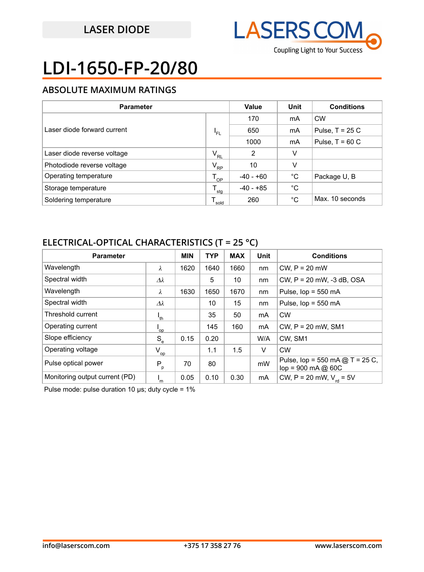

# **LDI-1650-FP-20/80**

### **ABSOLUTE MAXIMUM RATINGS**

| <b>Parameter</b>            |              | <b>Value</b>   | Unit        | <b>Conditions</b> |
|-----------------------------|--------------|----------------|-------------|-------------------|
| Laser diode forward current | 'FL          | 170            | mA          | <b>CW</b>         |
|                             |              | 650            | mA          | Pulse, $T = 25 C$ |
|                             |              | 1000           | mA          | Pulse, $T = 60 C$ |
| Laser diode reverse voltage | $V_{RL}$     | $\overline{2}$ | v           |                   |
| Photodiode reverse voltage  | $V_{\rm RP}$ | 10             | V           |                   |
| Operating temperature       | $T_{_{OP}}$  | -40 - +60      | °C          | Package U, B      |
| Storage temperature         | т.<br>' sta  | -40 - +85      | $^{\circ}C$ |                   |
| Soldering temperature       | sold         | 260            | °C          | Max. 10 seconds   |

### **ELECTRICAL-OPTICAL CHARACTERISTICS (T = 25 °C)**

| <b>Parameter</b>               |                           | <b>MIN</b> | <b>TYP</b> | <b>MAX</b> | Unit | <b>Conditions</b>                                                   |
|--------------------------------|---------------------------|------------|------------|------------|------|---------------------------------------------------------------------|
| Wavelength                     | λ                         | 1620       | 1640       | 1660       | nm   | $CW$ , $P = 20$ mW                                                  |
| Spectral width                 | $\varDelta\lambda$        |            | 5          | 10         | nm   | CW, $P = 20$ mW, $-3$ dB, OSA                                       |
| Wavelength                     | λ                         | 1630       | 1650       | 1670       | nm   | Pulse, $lop = 550$ mA                                               |
| Spectral width                 | $\varDelta\lambda$        |            | 10         | 15         | nm   | Pulse, $lop = 550$ mA                                               |
| Threshold current              | $I_{th}$                  |            | 35         | 50         | mA   | <b>CW</b>                                                           |
| Operating current              | op <sup>'</sup>           |            | 145        | 160        | mA   | $CW$ , $P = 20$ mW, SM1                                             |
| Slope efficiency               | $S_e$                     | 0.15       | 0.20       |            | W/A  | CW. SM1                                                             |
| Operating voltage              | $V_{op}$                  |            | 1.1        | 1.5        | V    | <b>CW</b>                                                           |
| Pulse optical power            | $P_p$                     | 70         | 80         |            | mW   | Pulse, $lop = 550$ mA $@T = 25 C$ ,<br>$lop = 900 \text{ mA} @ 60C$ |
| Monitoring output current (PD) | $\mathsf{I}_{\mathsf{m}}$ | 0.05       | 0.10       | 0.30       | mA   | CW, P = 20 mW, $V_{rel}$ = 5V                                       |

Pulse mode: pulse duration 10 μs; duty cycle = 1%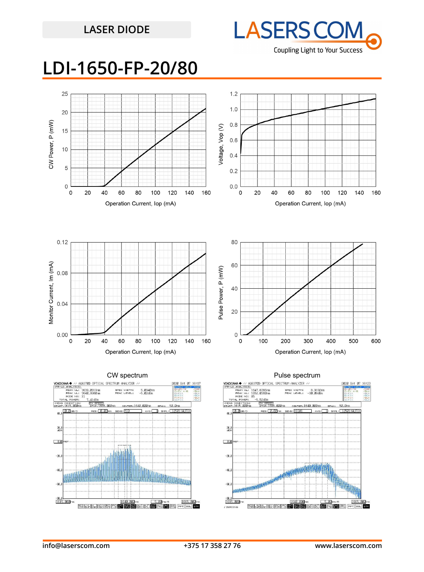## **LASER DIODE**



## **LDI-1650-FP-20/80**



-80.0

.00

 $\frac{-88}{16}$  $.000$ 

/ ZERO ING

**PER LY MA NOT FOR PP** 

**I yac** 

BE ALL ART A

**SUT** 

SM<sub>2</sub> PT Isg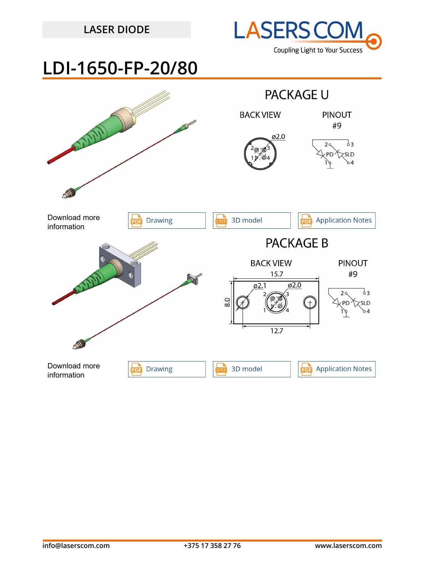